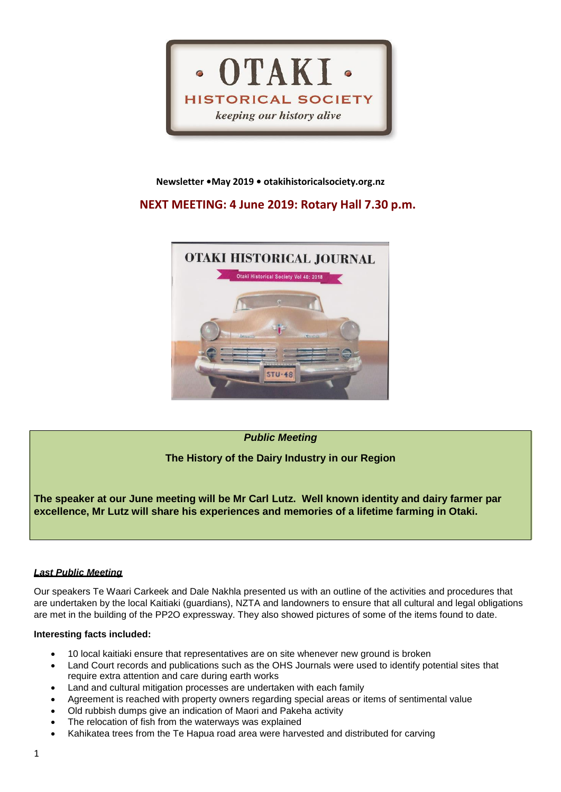

### **Newsletter •May 2019 • otakihistoricalsociety.org.nz**

# **NEXT MEETING: 4 June 2019: Rotary Hall 7.30 p.m.**



## *Public Meeting*

## **The History of the Dairy Industry in our Region**

**The speaker at our June meeting will be Mr Carl Lutz. Well known identity and dairy farmer par excellence, Mr Lutz will share his experiences and memories of a lifetime farming in Otaki.**

#### *Last Public Meeting*

Our speakers Te Waari Carkeek and Dale Nakhla presented us with an outline of the activities and procedures that are undertaken by the local Kaitiaki (guardians), NZTA and landowners to ensure that all cultural and legal obligations are met in the building of the PP2O expressway. They also showed pictures of some of the items found to date.

#### **Interesting facts included:**

- 10 local kaitiaki ensure that representatives are on site whenever new ground is broken
- Land Court records and publications such as the OHS Journals were used to identify potential sites that require extra attention and care during earth works
- Land and cultural mitigation processes are undertaken with each family
- Agreement is reached with property owners regarding special areas or items of sentimental value
- Old rubbish dumps give an indication of Maori and Pakeha activity
- The relocation of fish from the waterways was explained
- Kahikatea trees from the Te Hapua road area were harvested and distributed for carving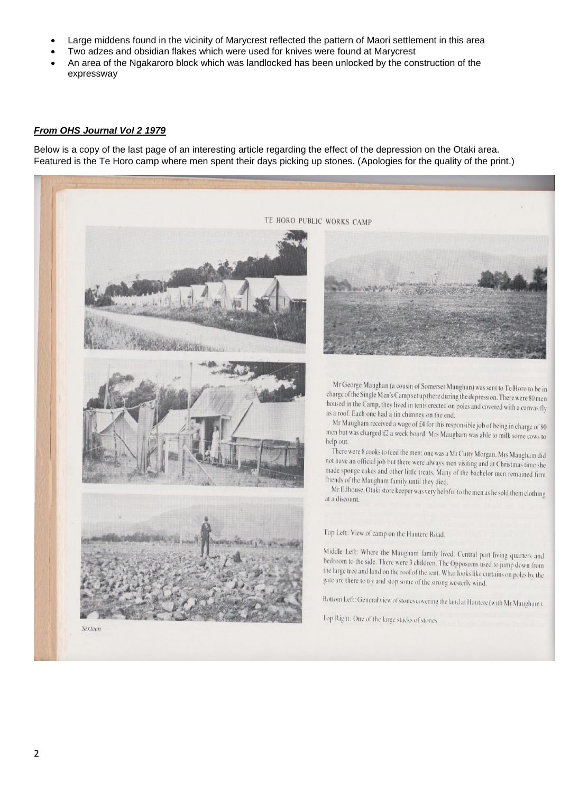- Large middens found in the vicinity of Marycrest reflected the pattern of Maori settlement in this area
- Two adzes and obsidian flakes which were used for knives were found at Marycrest
- An area of the Ngakaroro block which was landlocked has been unlocked by the construction of the expressway

### *From OHS Journal Vol 2 1979*

Below is a copy of the last page of an interesting article regarding the effect of the depression on the Otaki area. Featured is the Te Horo camp where men spent their days picking up stones. (Apologies for the quality of the print.)

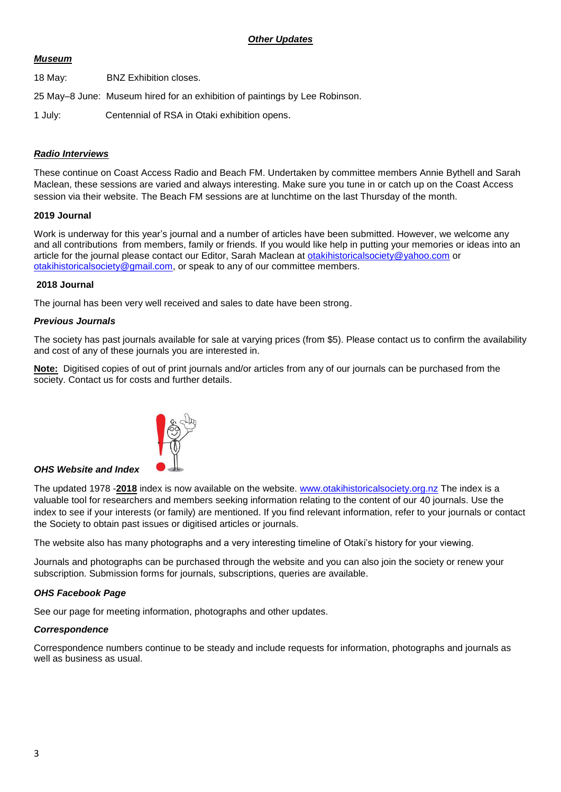## *Other Updates*

## *Museum*

- 18 May: BNZ Exhibition closes.
- 25 May–8 June: Museum hired for an exhibition of paintings by Lee Robinson.
- 1 July: Centennial of RSA in Otaki exhibition opens.

## *Radio Interviews*

These continue on Coast Access Radio and Beach FM. Undertaken by committee members Annie Bythell and Sarah Maclean, these sessions are varied and always interesting. Make sure you tune in or catch up on the Coast Access session via their website. The Beach FM sessions are at lunchtime on the last Thursday of the month.

### **2019 Journal**

Work is underway for this year's journal and a number of articles have been submitted. However, we welcome any and all contributions from members, family or friends. If you would like help in putting your memories or ideas into an article for the journal please contact our Editor, Sarah Maclean at [otakihistoricalsociety@yahoo.com](mailto:otakihistoricalsociety@yahoo.com) or [otakihistoricalsociety@gmail.com,](mailto:otakihistoricalsociety@gmail.com) or speak to any of our committee members.

#### **2018 Journal**

The journal has been very well received and sales to date have been strong.

### *Previous Journals*

The society has past journals available for sale at varying prices (from \$5). Please contact us to confirm the availability and cost of any of these journals you are interested in.

**Note:** Digitised copies of out of print journals and/or articles from any of our journals can be purchased from the society. Contact us for costs and further details.



### *OHS Website and Index*

The updated 1978 -**2018** index is now available on the website. [www.otakihistoricalsociety.org.nz](http://www.otakihistoricalsociety.org.nz/) The index is a valuable tool for researchers and members seeking information relating to the content of our 40 journals. Use the index to see if your interests (or family) are mentioned. If you find relevant information, refer to your journals or contact the Society to obtain past issues or digitised articles or journals.

The website also has many photographs and a very interesting timeline of Otaki's history for your viewing.

Journals and photographs can be purchased through the website and you can also join the society or renew your subscription. Submission forms for journals, subscriptions, queries are available.

### *OHS Facebook Page*

See our page for meeting information, photographs and other updates.

### *Correspondence*

Correspondence numbers continue to be steady and include requests for information, photographs and journals as well as business as usual.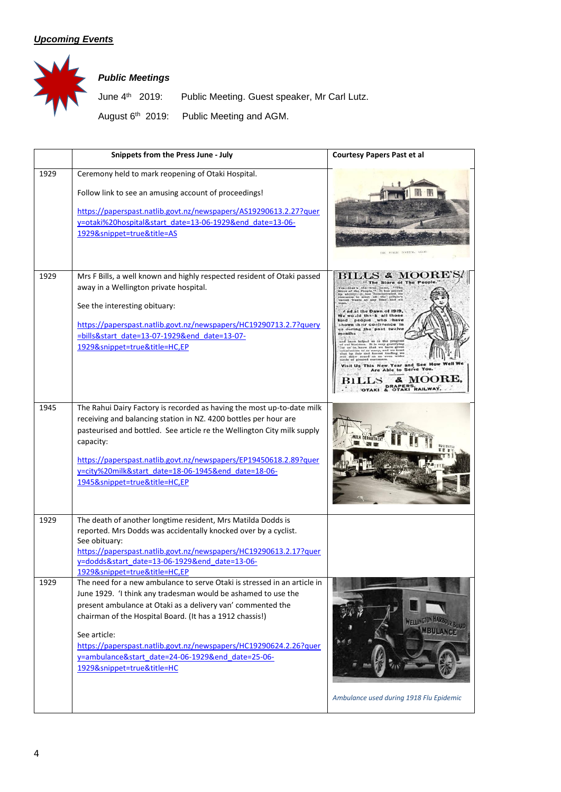# *Upcoming Events*



# *Public Meetings*

June 4<sup>th</sup> 2019: Public Meeting. Guest speaker, Mr Carl Lutz. August 6<sup>th</sup> 2019: Public Meeting and AGM.

|      | Snippets from the Press June - July                                                                                                                                                                                                                                                                                                                                                                                                          | <b>Courtesy Papers Past et al</b>                                                                                                                                  |
|------|----------------------------------------------------------------------------------------------------------------------------------------------------------------------------------------------------------------------------------------------------------------------------------------------------------------------------------------------------------------------------------------------------------------------------------------------|--------------------------------------------------------------------------------------------------------------------------------------------------------------------|
| 1929 | Ceremony held to mark reopening of Otaki Hospital.<br>Follow link to see an amusing account of proceedings!<br>https://paperspast.natlib.govt.nz/newspapers/AS19290613.2.27?quer<br>y=otaki%20hospital&start_date=13-06-1929&end_date=13-06-<br>1929&snippet=true&title=AS                                                                                                                                                                   |                                                                                                                                                                    |
| 1929 | Mrs F Bills, a well known and highly respected resident of Otaki passed<br>away in a Wellington private hospital.<br>See the interesting obituary:<br>https://paperspast.natlib.govt.nz/newspapers/HC19290713.2.7?query<br>=bills&start date=13-07-1929&end date=13-07-<br>1929&snippet=true&title=HC,EP                                                                                                                                     | The Store of The Peop<br>thank all thos<br>people who have<br>hown their confidence in<br>is during the past twelve<br>months<br>his New Year and<br>e Able to Ser |
| 1945 | The Rahui Dairy Factory is recorded as having the most up-to-date milk<br>receiving and balancing station in NZ. 4200 bottles per hour are<br>pasteurised and bottled. See article re the Wellington City milk supply<br>capacity:<br>https://paperspast.natlib.govt.nz/newspapers/EP19450618.2.89?quer<br>y=city%20milk&start_date=18-06-1945&end_date=18-06-<br>1945&snippet=true&title=HC,EP                                              | MILK DEPARTMENT                                                                                                                                                    |
| 1929 | The death of another longtime resident, Mrs Matilda Dodds is<br>reported. Mrs Dodds was accidentally knocked over by a cyclist.<br>See obituary:<br>https://paperspast.natlib.govt.nz/newspapers/HC19290613.2.17?quer<br>y=dodds&start date=13-06-1929&end date=13-06-<br>1929&snippet=true&title=HC,EP                                                                                                                                      |                                                                                                                                                                    |
| 1929 | The need for a new ambulance to serve Otaki is stressed in an article in<br>June 1929. 'I think any tradesman would be ashamed to use the<br>present ambulance at Otaki as a delivery van' commented the<br>chairman of the Hospital Board. (It has a 1912 chassis!)<br>See article:<br>https://paperspast.natlib.govt.nz/newspapers/HC19290624.2.26?quer<br>y=ambulance&start_date=24-06-1929&end_date=25-06-<br>1929&snippet=true&title=HC | WELLINGTON HAR<br><b>MBULANC</b><br>Ambulance used during 1918 Flu Epidemic                                                                                        |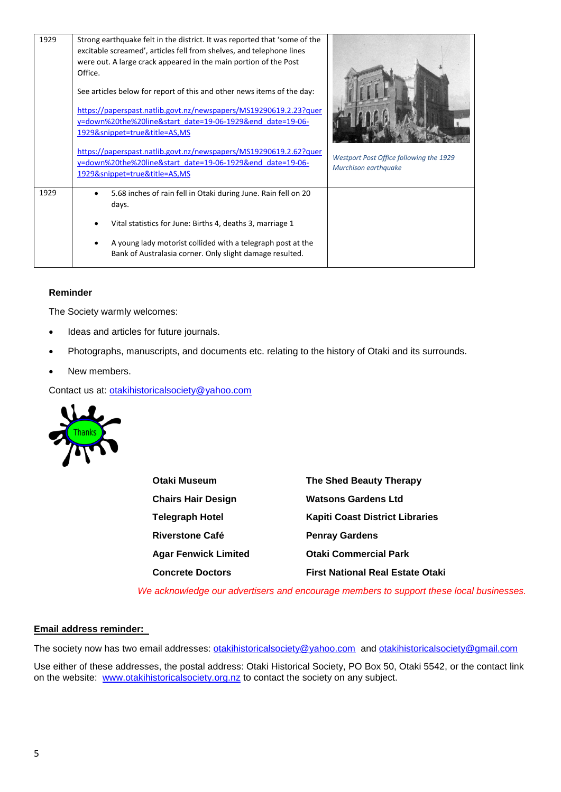| 1929 | Strong earthquake felt in the district. It was reported that 'some of the<br>excitable screamed', articles fell from shelves, and telephone lines<br>were out. A large crack appeared in the main portion of the Post<br>Office. |                                                                 |  |
|------|----------------------------------------------------------------------------------------------------------------------------------------------------------------------------------------------------------------------------------|-----------------------------------------------------------------|--|
|      | See articles below for report of this and other news items of the day:                                                                                                                                                           |                                                                 |  |
|      | https://paperspast.natlib.govt.nz/newspapers/MS19290619.2.23?quer<br>y=down%20the%20line&start date=19-06-1929&end date=19-06-<br>1929&snippet=true&title=AS,MS                                                                  |                                                                 |  |
|      | https://paperspast.natlib.govt.nz/newspapers/MS19290619.2.62?quer<br>y=down%20the%20line&start_date=19-06-1929&end_date=19-06-<br>1929&snippet=true&title=AS,MS                                                                  | Westport Post Office following the 1929<br>Murchison earthquake |  |
| 1929 | 5.68 inches of rain fell in Otaki during June. Rain fell on 20<br>days.                                                                                                                                                          |                                                                 |  |
|      | Vital statistics for June: Births 4, deaths 3, marriage 1                                                                                                                                                                        |                                                                 |  |
|      | A young lady motorist collided with a telegraph post at the<br>Bank of Australasia corner. Only slight damage resulted.                                                                                                          |                                                                 |  |

### **Reminder**

The Society warmly welcomes:

- Ideas and articles for future journals.
- Photographs, manuscripts, and documents etc. relating to the history of Otaki and its surrounds.
- New members.

Contact us at: [otakihistoricalsociety@yahoo.com](mailto:otakihistoricalsociety@yahoo.com)



**Otaki Museum The Shed Beauty Therapy Chairs Hair Design Watsons Gardens Ltd Telegraph Hotel Kapiti Coast District Libraries Riverstone Café Penray Gardens Agar Fenwick Limited Otaki Commercial Park Concrete Doctors First National Real Estate Otaki**

 *We acknowledge our advertisers and encourage members to support these local businesses.*

### **Email address reminder:**

The society now has two email addresses: [otakihistoricalsociety@yahoo.com](mailto:otakihistoricalsociety@yahoo.com) and [otakihistoricalsociety@gmail.com](mailto:otakihistoricalsociety@gmail.com)

Use either of these addresses, the postal address: Otaki Historical Society, PO Box 50, Otaki 5542, or the contact link on the website: [www.otakihistoricalsociety.org.nz](http://www.otakihistoricalsociety.org.nz/) to contact the society on any subject.